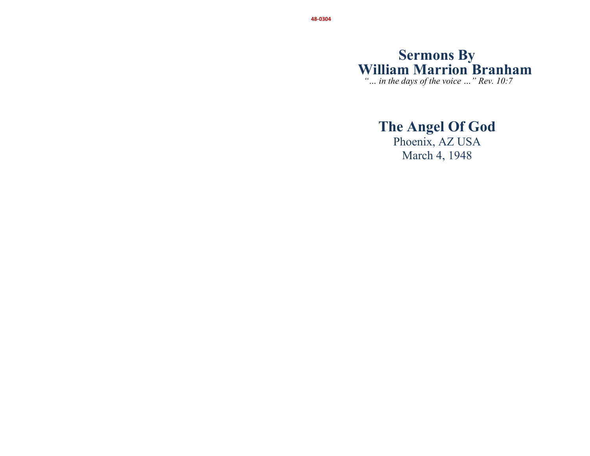# **Sermons By William Marrion Branham**

 *"… in the days of the voice …" Rev. 10:7* 

# **The Angel Of God**

Phoenix, AZ USA March 4, 1948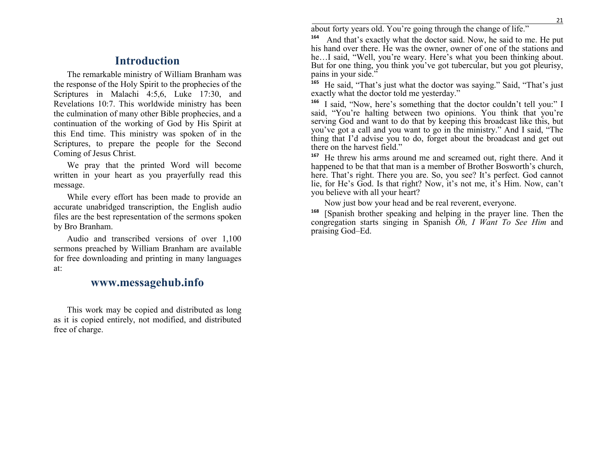### **Introduction**

The remarkable ministry of William Branham was the response of the Holy Spirit to the prophecies of the Scriptures in Malachi 4:5,6, Luke 17:30, and Revelations 10:7. This worldwide ministry has been the culmination of many other Bible prophecies, and a continuation of the working of God by His Spirit at this End time. This ministry was spoken of in the Scriptures, to prepare the people for the Second Coming of Jesus Christ.

We pray that the printed Word will become written in your heart as you prayerfully read this message.

While every effort has been made to provide an accurate unabridged transcription, the English audio files are the best representation of the sermons spoken by Bro Branham.

Audio and transcribed versions of over 1,100 sermons preached by William Branham are available for free downloading and printing in many languagesat:

### **www.messagehub.info**

This work may be copied and distributed as long as it is copied entirely, not modified, and distributed free of charge.

about forty years old. You're going through the change of life."

**<sup>164</sup>** And that's exactly what the doctor said. Now, he said to me. He put his hand over there. He was the owner, owner of one of the stations and he…I said, "Well, you're weary. Here's what you been thinking about. But for one thing, you think you've got tubercular, but you got pleurisy, pains in your side."

<sup>5</sup> He said, "That's just what the doctor was saying." Said, "That's just **165**exactly what the doctor told me yesterday."

<sup>6</sup> I said, "Now, here's something that the doctor couldn't tell you:" I **166** said, "You're halting between two opinions. You think that you're serving God and want to do that by keeping this broadcast like this, but you've got a call and you want to go in the ministry." And I said, "The thing that I'd advise you to do, forget about the broadcast and get out there on the harvest field."

**167** He threw his arms around me and screamed out, right there. And it happened to be that that man is a member of Brother Bosworth's church, here. That's right. There you are. So, you see? It's perfect. God cannot lie, for He's God. Is that right? Now, it's not me, it's Him. Now, can't you believe with all your heart?

Now just bow your head and be real reverent, everyone.

**168** [Spanish brother speaking and helping in the prayer line. Then the congregation starts singing in Spanish *Oh, I Want To See Him* and praising God–Ed.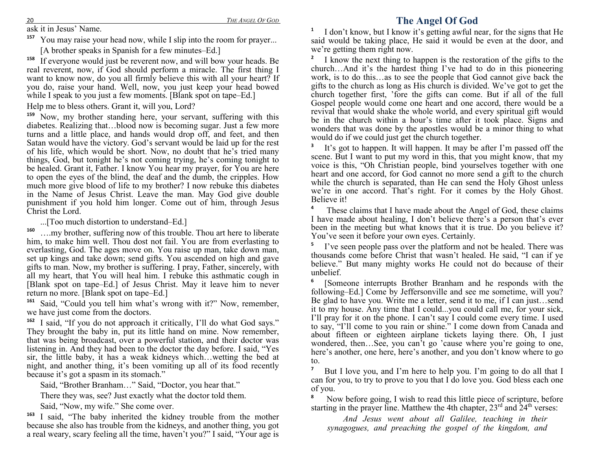## **The Angel Of God**

ask it in Jesus' Name.

**157**You may raise your head now, while I slip into the room for prayer...

[A brother speaks in Spanish for a few minutes–Ed.]

<sup>8</sup> If everyone would just be reverent now, and will bow your heads. Be **158** real reverent, now, if God should perform a miracle. The first thing I want to know now, do you all firmly believe this with all your heart? If you do, raise your hand. Well, now, you just keep your head bowed while I speak to you just a few moments. [Blank spot on tape–Ed.]

Help me to bless others. Grant it, will you, Lord?

**159** Now, my brother standing here, your servant, suffering with this diabetes. Realizing that…blood now is becoming sugar. Just a few more turns and a little place, and hands would drop off, and feet, and then Satan would have the victory. God's servant would be laid up for the rest of his life, which would be short. Now, no doubt that he's tried many things, God, but tonight he's not coming trying, he's coming tonight to be healed. Grant it, Father. I know You hear my prayer, for You are here to open the eyes of the blind, the deaf and the dumb, the cripples. How much more give blood of life to my brother? I now rebuke this diabetes in the Name of Jesus Christ. Leave the man. May God give double punishment if you hold him longer. Come out of him, through Jesus Christ the Lord.

...[Too much distortion to understand–Ed.]

**160** ….my brother, suffering now of this trouble. Thou art here to liberate him, to make him well. Thou dost not fail. You are from everlasting to everlasting, God. The ages move on. You raise up man, take down man, set up kings and take down; send gifts. You ascended on high and gave gifts to man. Now, my brother is suffering. I pray, Father, sincerely, with all my heart, that You will heal him. I rebuke this asthmatic cough in [Blank spot on tape–Ed.] of Jesus Christ. May it leave him to never return no more. [Blank spot on tape–Ed.]

**161** Said, "Could you tell him what's wrong with it?" Now, remember, we have just come from the doctors.

**162** I said, "If you do not approach it critically, I'll do what God says." They brought the baby in, put its little hand on mine. Now remember, that was being broadcast, over a powerful station, and their doctor was listening in. And they had been to the doctor the day before. I said, "Yes sir, the little baby, it has a weak kidneys which…wetting the bed at night, and another thing, it's been vomiting up all of its food recently because it's got a spasm in its stomach."

Said, "Brother Branham…" Said, "Doctor, you hear that."

There they was, see? Just exactly what the doctor told them.

Said, "Now, my wife." She come over.

**163** I said, "The baby inherited the kidney trouble from the mother because she also has trouble from the kidneys, and another thing, you got a real weary, scary feeling all the time, haven't you?" I said, "Your age is **1** I don't know, but I know it's getting awful near, for the signs that He said would be taking place, He said it would be even at the door, and we're getting them right now.

**2** I know the next thing to happen is the restoration of the gifts to the church…And it's the hardest thing I've had to do in this pioneering work, is to do this…as to see the people that God cannot give back the gifts to the church as long as His church is divided. We've got to get the church together first, 'fore the gifts can come. But if all of the full Gospel people would come one heart and one accord, there would be a revival that would shake the whole world, and every spiritual gift would be in the church within a hour's time after it took place. Signs and wonders that was done by the apostles would be a minor thing to what would do if we could just get the church together.

**3** It's got to happen. It will happen. It may be after I'm passed off the scene. But I want to put my word in this, that you might know, that my voice is this, "Oh Christian people, bind yourselves together with one heart and one accord, for God cannot no more send a gift to the church while the church is separated, than He can send the Holy Ghost unless we're in one accord. That's right. For it comes by the Holy Ghost. Believe it!

<sup>4</sup> These claims that I have made about the Angel of God, these claims I have made about healing, I don't believe there's a person that's ever been in the meeting but what knows that it is true. Do you believe it? You've seen it before your own eyes. Certainly.

**5** I've seen people pass over the platform and not be healed. There was thousands come before Christ that wasn't healed. He said, "I can if ye believe." But many mighty works He could not do because of their unbelief.

**6** [Someone interrupts Brother Branham and he responds with the following–Ed.] Come by Jeffersonville and see me sometime, will you? Be glad to have you. Write me a letter, send it to me, if I can just…send it to my house. Any time that I could...you could call me, for your sick, I'll pray for it on the phone. I can't say I could come every time. I used to say, "I'll come to you rain or shine." I come down from Canada and about fifteen or eighteen airplane tickets laying there. Oh, I just wondered, then…See, you can't go 'cause where you're going to one, here's another, one here, here's another, and you don't know where to go to.

**7** But I love you, and I'm here to help you. I'm going to do all that I can for you, to try to prove to you that I do love you. God bless each one of you.

<sup>8</sup> Now before going, I wish to read this little piece of scripture, before starting in the prayer line. Matthew the 4th chapter,  $23<sup>rd</sup>$  and  $24<sup>th</sup>$  verses:

*And Jesus went about all Galilee, teaching in their synagogues, and preaching the gospel of the kingdom, and*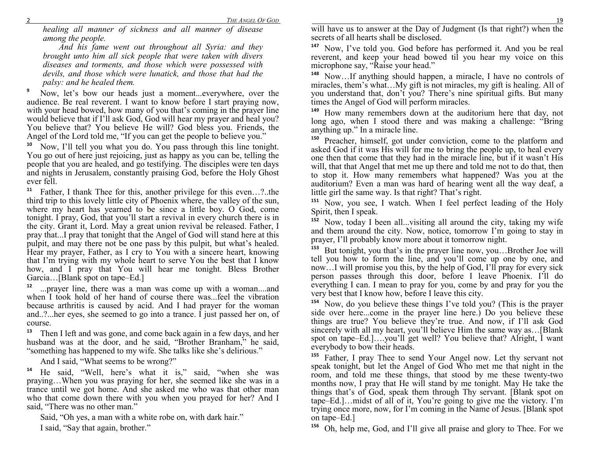*healing all manner of sickness and all manner of disease among the people.* 

 *And his fame went out throughout all Syria: and they brought unto him all sick people that were taken with divers diseases and torments, and those which were possessed with devils, and those which were lunatick, and those that had the palsy: and he healed them.* 

**9** Now, let's bow our heads just a moment...everywhere, over the audience. Be real reverent. I want to know before I start praying now, with your head bowed, how many of you that's coming in the prayer line would believe that if I'll ask God, God will hear my prayer and heal you? You believe that? You believe He will? God bless you. Friends, the Angel of the Lord told me, "If you can get the people to believe you."

**10** Now, I'll tell you what you do. You pass through this line tonight. You go out of here just rejoicing, just as happy as you can be, telling the people that you are healed, and go testifying. The disciples were ten days and nights in Jerusalem, constantly praising God, before the Holy Ghost ever fell.

**11** Father, I thank Thee for this, another privilege for this even…?..the third trip to this lovely little city of Phoenix where, the valley of the sun, where my heart has yearned to be since a little boy. O God, come tonight. I pray, God, that you'll start a revival in every church there is in the city. Grant it, Lord. May a great union revival be released. Father, I pray that...I pray that tonight that the Angel of God will stand here at this pulpit, and may there not be one pass by this pulpit, but what's healed. Hear my prayer, Father, as I cry to You with a sincere heart, knowing that I'm trying with my whole heart to serve You the best that I know how, and I pray that You will hear me tonight. Bless Brother Garcia…[Blank spot on tape–Ed.]

**12** ...prayer line, there was a man was come up with a woman....and when I took hold of her hand of course there was...feel the vibration because arthritis is caused by acid. And I had prayer for the woman and..?...her eyes, she seemed to go into a trance. I just passed her on, of course.

**13** Then I left and was gone, and come back again in a few days, and her husband was at the door, and he said, "Brother Branham," he said, "something has happened to my wife. She talks like she's delirious."

And I said, "What seems to be wrong?"

**14** He said, "Well, here's what it is," said, "when she was praying…When you was praying for her, she seemed like she was in a trance until we got home. And she asked me who was that other man who that come down there with you when you prayed for her? And I said, "There was no other man."

Said, "Oh yes, a man with a white robe on, with dark hair." I said, "Say that again, brother."

 will have us to answer at the Day of Judgment (Is that right?) when the secrets of all hearts shall be disclosed.

<sup>7</sup> Now, I've told you. God before has performed it. And you be real **147** reverent, and keep your head bowed til you hear my voice on this microphone say, "Raise your head."

**148** Now…If anything should happen, a miracle, I have no controls of miracles, them's what…My gift is not miracles, my gift is healing. All of you understand that, don't you? There's nine spiritual gifts. But many times the Angel of God will perform miracles.

**149** How many remembers down at the auditorium here that day, not long ago, when I stood there and was making a challenge: "Bring anything up." In a miracle line.

**150** Preacher, himself, got under conviction, come to the platform and asked God if it was His will for me to bring the people up, to heal every one then that come that they had in the miracle line, but if it wasn't His will, that that Angel that met me up there and told me not to do that, then to stop it. How many remembers what happened? Was you at the auditorium? Even a man was hard of hearing went all the way deaf, a little girl the same way. Is that right? That's right.

**151** Now, you see, I watch. When I feel perfect leading of the Holy Spirit, then I speak.

 **152** Now, today I been all...visiting all around the city, taking my wife and them around the city. Now, notice, tomorrow I'm going to stay in prayer, I'll probably know more about it tomorrow night.

**153** But tonight, you that's in the prayer line now, you…Brother Joe will tell you how to form the line, and you'll come up one by one, and now…I will promise you this, by the help of God, I'll pray for every sick person passes through this door, before I leave Phoenix. I'll do everything I can. I mean to pray for you, come by and pray for you the very best that I know how, before I leave this city.

**154** Now, do you believe these things I've told you? (This is the prayer side over here...come in the prayer line here.) Do you believe these things are true? You believe they're true. And now, if I'll ask God sincerely with all my heart, you'll believe Him the same way as…[Blank spot on tape–Ed.]….you'll get well? You believe that? Alright, I want everybody to bow their heads.

**155** Father, I pray Thee to send Your Angel now. Let thy servant not speak tonight, but let the Angel of God Who met me that night in the room, and told me these things, that stood by me these twenty-two months now, I pray that He will stand by me tonight. May He take the things that's of God, speak them through Thy servant. [Blank spot on tape–Ed.]…midst of all of it, You're going to give me the victory. I'm trying once more, now, for I'm coming in the Name of Jesus. [Blank spot on tape–Ed.]

<sup>6</sup> Oh, help me, God, and I'll give all praise and glory to Thee. For we **156**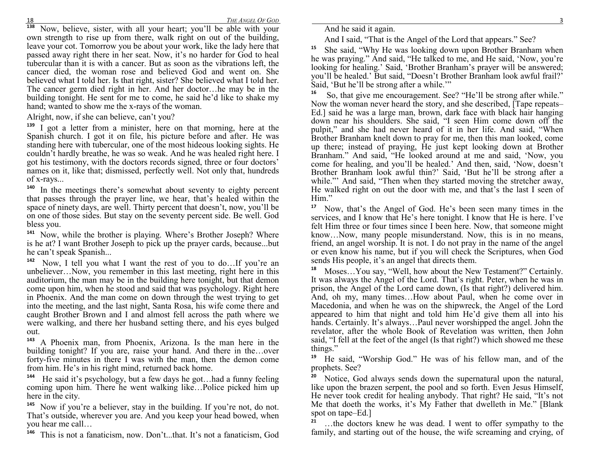**138**<sup>8</sup> Now, believe, sister, with all your heart; you'll be able with your own strength to rise up from there, walk right on out of the building, leave your cot. Tomorrow you be about your work, like the lady here that passed away right there in her seat. Now, it's no harder for God to heal tubercular than it is with a cancer. But as soon as the vibrations left, the cancer died, the woman rose and believed God and went on. She believed what I told her. Is that right, sister? She believed what I told her. The cancer germ died right in her. And her doctor…he may be in the building tonight. He sent for me to come, he said he'd like to shake my hand; wanted to show me the x-rays of the woman.

Alright, now, if she can believe, can't you?

**139** I got a letter from a minister, here on that morning, here at the Spanish church. I got it on file, his picture before and after. He was standing here with tubercular, one of the most hideous looking sights. He couldn't hardly breathe, he was so weak. And he was healed right here. I got his testimony, with the doctors records signed, three or four doctors' names on it, like that; dismissed, perfectly well. Not only that, hundreds of x-rays...

**140** In the meetings there's somewhat about seventy to eighty percent that passes through the prayer line, we hear, that's healed within the space of ninety days, are well. Thirty percent that doesn't, now, you'll be on one of those sides. But stay on the seventy percent side. Be well. God bless you.

**141** Now, while the brother is playing. Where's Brother Joseph? Where is he at? I want Brother Joseph to pick up the prayer cards, because...but he can't speak Spanish...

**<sup>142</sup>** Now, I tell you what I want the rest of you to do…If you're an unbeliever…Now, you remember in this last meeting, right here in this auditorium, the man may be in the building here tonight, but that demon come upon him, when he stood and said that was psychology. Right here in Phoenix. And the man come on down through the west trying to get into the meeting, and the last night, Santa Rosa, his wife come there and caught Brother Brown and I and almost fell across the path where we were walking, and there her husband setting there, and his eyes bulged out.

**143** A Phoenix man, from Phoenix, Arizona. Is the man here in the building tonight? If you are, raise your hand. And there in the…over forty-five minutes in there I was with the man, then the demon come from him. He's in his right mind, returned back home.

**<sup>144</sup>** He said it's psychology, but a few days he got…had a funny feeling coming upon him. There he went walking like…Police picked him up here in the city.

**145** Now if you're a believer, stay in the building. If you're not, do not. That's outside, wherever you are. And you keep your head bowed, when you hear me call…

**146**This is not a fanaticism, now. Don't...that. It's not a fanaticism, God And he said it again.

And I said, "That is the Angel of the Lord that appears." See?

**15** She said, "Why He was looking down upon Brother Branham when he was praying." And said, "He talked to me, and He said, 'Now, you're looking for healing.' Said, 'Brother Branham's prayer will be answered; you'll be healed.' But said, "Doesn't Brother Branham look awful frail?' Said, 'But he'll be strong after a while.'"

So, that give me encouragement. See? "He'll be strong after while." Now the woman never heard the story, and she described, [Tape repeats– Ed.] said he was a large man, brown, dark face with black hair hanging down near his shoulders. She said, "I seen Him come down off the pulpit," and she had never heard of it in her life. And said, "When Brother Branham knelt down to pray for me, then this man looked, come up there; instead of praying, He just kept looking down at Brother Branham." And said, "He looked around at me and said, 'Now, you come for healing, and you'll be healed.' And then, said, 'Now, doesn't Brother Branham look awful thin?' Said, 'But he'll be strong after a while."" And said, "Then when they started moving the stretcher away, He walked right on out the door with me, and that's the last I seen of Him."

**17** Now, that's the Angel of God. He's been seen many times in the services, and I know that He's here tonight. I know that He is here. I've felt Him three or four times since I been here. Now, that someone might know…Now, many people misunderstand. Now, this is in no means, friend, an angel worship. It is not. I do not pray in the name of the angel or even know his name, but if you will check the Scriptures, when God sends His people, it's an angel that directs them.

**18** Moses…You say, "Well, how about the New Testament?" Certainly. It was always the Angel of the Lord. That's right. Peter, when he was in prison, the Angel of the Lord came down, (Is that right?) delivered him. And, oh my, many times…How about Paul, when he come over in Macedonia, and when he was on the shipwreck, the Angel of the Lord appeared to him that night and told him He'd give them all into his hands. Certainly. It's always…Paul never worshipped the angel. John the revelator, after the whole Book of Revelation was written, then John said, "I fell at the feet of the angel (Is that right?) which showed me these things."

**19** He said, "Worship God." He was of his fellow man, and of the prophets. See?

**20** Notice, God always sends down the supernatural upon the natural, like upon the brazen serpent, the pool and so forth. Even Jesus Himself, He never took credit for healing anybody. That right? He said, "It's not Me that doeth the works, it's My Father that dwelleth in Me." [Blank spot on tape–Ed.]

**21** …the doctors knew he was dead. I went to offer sympathy to the family, and starting out of the house, the wife screaming and crying, of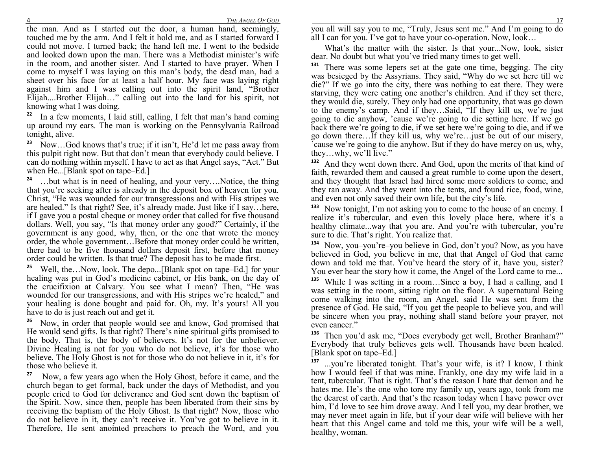the man. And as I started out the door, a human hand, seemingly, touched me by the arm. And I felt it hold me, and as I started forward I could not move. I turned back; the hand left me. I went to the bedside and looked down upon the man. There was a Methodist minister's wife in the room, and another sister. And I started to have prayer. When I come to myself I was laying on this man's body, the dead man, had a sheet over his face for at least a half hour. My face was laying right against him and I was calling out into the spirit land, "Brother Elijah....Brother Elijah…" calling out into the land for his spirit, not knowing what I was doing.

**22** In a few moments, I laid still, calling, I felt that man's hand coming up around my ears. The man is working on the Pennsylvania Railroad tonight, alive.

**23** Now…God knows that's true; if it isn't, He'd let me pass away from this pulpit right now. But that don't mean that everybody could believe. I can do nothing within myself. I have to act as that Angel says, "Act." But when He...[Blank spot on tape–Ed.]

**24** …but what is in need of healing, and your very….Notice, the thing that you're seeking after is already in the deposit box of heaven for you. Christ, "He was wounded for our transgressions and with His stripes we are healed." Is that right? See, it's already made. Just like if I say…here, if I gave you a postal cheque or money order that called for five thousand dollars. Well, you say, "Is that money order any good?" Certainly, if the government is any good, why, then, or the one that wrote the money order, the whole government…Before that money order could be written, there had to be five thousand dollars deposit first, before that money order could be written. Is that true? The deposit has to be made first.

**25** Well, the…Now, look. The depo...[Blank spot on tape–Ed.] for your healing was put in God's medicine cabinet, or His bank, on the day of the crucifixion at Calvary. You see what I mean? Then, "He was wounded for our transgressions, and with His stripes we're healed," and your healing is done bought and paid for. Oh, my. It's yours! All you have to do is just reach out and get it.

**26** Now, in order that people would see and know, God promised that He would send gifts. Is that right? There's nine spiritual gifts promised to the body. That is, the body of believers. It's not for the unbeliever. Divine Healing is not for you who do not believe, it's for those who believe. The Holy Ghost is not for those who do not believe in it, it's for those who believe it.

**<sup>27</sup>** Now, a few years ago when the Holy Ghost, before it came, and the church began to get formal, back under the days of Methodist, and you people cried to God for deliverance and God sent down the baptism of the Spirit. Now, since then, people has been liberated from their sins by receiving the baptism of the Holy Ghost. Is that right? Now, those who do not believe in it, they can't receive it. You've got to believe in it. Therefore, He sent anointed preachers to preach the Word, and you

 you all will say you to me, "Truly, Jesus sent me." And I'm going to do all I can for you. I've got to have your co-operation. Now, look…

 What's the matter with the sister. Is that your...Now, look, sister dear. No doubt but what you've tried many times to get well.

**131** There was some lepers set at the gate one time, begging. The city was besieged by the Assyrians. They said, "Why do we set here till we die?" If we go into the city, there was nothing to eat there. They were starving, they were eating one another's children. And if they set there, they would die, surely. They only had one opportunity, that was go down to the enemy's camp. And if they…Said, "If they kill us, we're just going to die anyhow, 'cause we're going to die setting here. If we go back there we're going to die, if we set here we're going to die, and if we go down there…If they kill us, why we're…just be out of our misery, 'cause we're going to die anyhow. But if they do have mercy on us, why, they…why, we'll live."

**132** And they went down there. And God, upon the merits of that kind of faith, rewarded them and caused a great rumble to come upon the desert, and they thought that Israel had hired some more soldiers to come, and they ran away. And they went into the tents, and found rice, food, wine, and even not only saved their own life, but the city's life.

**133** Now tonight, I'm not asking you to come to the house of an enemy. I realize it's tubercular, and even this lovely place here, where it's a healthy climate...way that you are. And you're with tubercular, you're sure to die. That's right. You realize that.

**134** Now, you–you're–you believe in God, don't you? Now, as you have believed in God, you believe in me, that that Angel of God that came down and told me that. You've heard the story of it, have you, sister? You ever hear the story how it come, the Angel of the Lord came to me...

**135** While I was setting in a room…Since a boy, I had a calling, and I was setting in the room, sitting right on the floor. A supernatural Being come walking into the room, an Angel, said He was sent from the presence of God. He said, "If you get the people to believe you, and will be sincere when you pray, nothing shall stand before your prayer, not even cancer."

**136** Then you'd ask me, "Does everybody get well, Brother Branham?" Everybody that truly believes gets well. Thousands have been healed. [Blank spot on tape–Ed.]

**137** ...you're liberated tonight. That's your wife, is it? I know, I think how I would feel if that was mine. Frankly, one day my wife laid in a tent, tubercular. That is right. That's the reason I hate that demon and he hates me. He's the one who tore my family up, years ago, took from me the dearest of earth. And that's the reason today when I have power over him, I'd love to see him drove away. And I tell you, my dear brother, we may never meet again in life, but if your dear wife will believe with her heart that this Angel came and told me this, your wife will be a well, healthy, woman.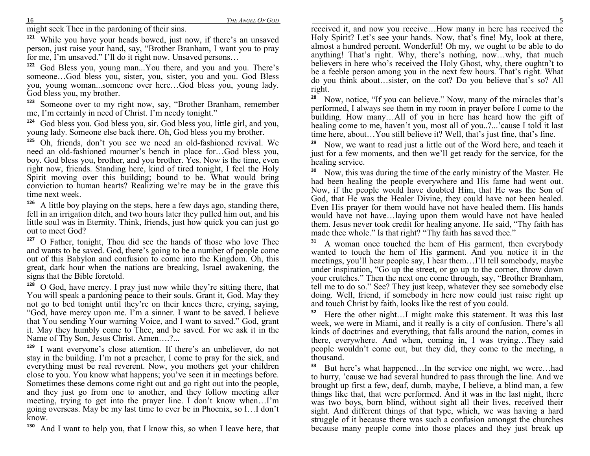might seek Thee in the pardoning of their sins.

 **121** While you have your heads bowed, just now, if there's an unsaved person, just raise your hand, say, "Brother Branham, I want you to pray for me, I'm unsaved." I'll do it right now. Unsaved persons...

 God Bless you, young man...You there, and you and you. There's **122** someone…God bless you, sister, you, sister, you and you. God Bless you, young woman...someone over here…God bless you, young lady. God bless you, my brother.

**123** Someone over to my right now, say, "Brother Branham, remember me, I'm certainly in need of Christ. I'm needy tonight."

**124** God bless you. God bless you, sir. God bless you, little girl, and you, young lady. Someone else back there. Oh, God bless you my brother.

**125** Oh, friends, don't you see we need an old-fashioned revival. We need an old-fashioned mourner's bench in place for…God bless you, boy. God bless you, brother, and you brother. Yes. Now is the time, even right now, friends. Standing here, kind of tired tonight, I feel the Holy Spirit moving over this building; bound to be. What would bring conviction to human hearts? Realizing we're may be in the grave this time next week.

 **126** A little boy playing on the steps, here a few days ago, standing there, fell in an irrigation ditch, and two hours later they pulled him out, and his little soul was in Eternity. Think, friends, just how quick you can just go out to meet God?

<sup>7</sup> O Father, tonight, Thou did see the hands of those who love Thee **127** and wants to be saved. God, there's going to be a number of people come out of this Babylon and confusion to come into the Kingdom. Oh, this great, dark hour when the nations are breaking, Israel awakening, the signs that the Bible foretold.

 **128** O God, have mercy. I pray just now while they're sitting there, that You will speak a pardoning peace to their souls. Grant it, God. May they not go to bed tonight until they're on their knees there, crying, saying, "God, have mercy upon me. I'm a sinner. I want to be saved. I believe that You sending Your warning Voice, and I want to saved." God, grant it. May they humbly come to Thee, and be saved. For we ask it in the Name of Thy Son, Jesus Christ. Amen….?...

<sup>9</sup> I want everyone's close attention. If there's an unbeliever, do not **129** stay in the building. I'm not a preacher, I come to pray for the sick, and everything must be real reverent. Now, you mothers get your children close to you. You know what happens; you've seen it in meetings before. Sometimes these demons come right out and go right out into the people, and they just go from one to another, and they follow meeting after meeting, trying to get into the prayer line. I don't know when…I'm going overseas. May be my last time to ever be in Phoenix, so I…I don't know.

**130**And I want to help you, that I know this, so when I leave here, that

 received it, and now you receive…How many in here has received the Holy Spirit? Let's see your hands. Now, that's fine! My, look at there, almost a hundred percent. Wonderful! Oh my, we ought to be able to do anything! That's right. Why, there's nothing, now…why, that much believers in here who's received the Holy Ghost, why, there oughtn't to be a feeble person among you in the next few hours. That's right. What do you think about…sister, on the cot? Do you believe that's so? All right.

**28** Now, notice, "If you can believe." Now, many of the miracles that's performed, I always see them in my room in prayer before I come to the building. How many…All of you in here has heard how the gift of healing come to me, haven't you, most all of you..?...'cause I told it last time here, about…You still believe it? Well, that's just fine, that's fine.

**29** Now, we want to read just a little out of the Word here, and teach it just for a few moments, and then we'll get ready for the service, for the healing service.

**30** Now, this was during the time of the early ministry of the Master. He had been healing the people everywhere and His fame had went out. Now, if the people would have doubted Him, that He was the Son of God, that He was the Healer Divine, they could have not been healed. Even His prayer for them would have not have healed them. His hands would have not have…laying upon them would have not have healed them. Jesus never took credit for healing anyone. He said, "Thy faith has made thee whole." Is that right? "Thy faith has saved thee."

**31** A woman once touched the hem of His garment, then everybody wanted to touch the hem of His garment. And you notice it in the meetings, you'll hear people say, I hear them…I'll tell somebody, maybe under inspiration, "Go up the street, or go up to the corner, throw down your crutches." Then the next one come through, say, "Brother Branham, tell me to do so." See? They just keep, whatever they see somebody else doing. Well, friend, if somebody in here now could just raise right up and touch Christ by faith, looks like the rest of you could.

**32** Here the other night…I might make this statement. It was this last week, we were in Miami, and it really is a city of confusion. There's all kinds of doctrines and everything, that falls around the nation, comes in there, everywhere. And when, coming in, I was trying…They said people wouldn't come out, but they did, they come to the meeting, a thousand.

**33** But here's what happened…In the service one night, we were…had to hurry, 'cause we had several hundred to pass through the line. And we brought up first a few, deaf, dumb, maybe, I believe, a blind man, a few things like that, that were performed. And it was in the last night, there was two boys, born blind, without sight all their lives, received their sight. And different things of that type, which, we was having a hard struggle of it because there was such a confusion amongst the churches because many people come into those places and they just break up

16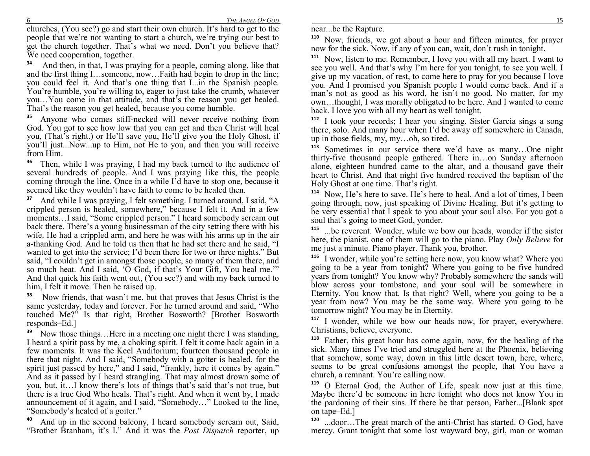6 *THE ANGEL OF GOD*

 churches, (You see?) go and start their own church. It's hard to get to the people that we're not wanting to start a church, we're trying our best to get the church together. That's what we need. Don't you believe that? We need cooperation, together.

**<sup>34</sup>** And then, in that, I was praying for a people, coming along, like that and the first thing I…someone, now…Faith had begin to drop in the line; you could feel it. And that's one thing that I...in the Spanish people. You're humble, you're willing to, eager to just take the crumb, whatever you…You come in that attitude, and that's the reason you get healed. That's the reason you get healed, because you come humble.

**35** Anyone who comes stiff-necked will never receive nothing from God. You got to see how low that you can get and then Christ will heal you, (That's right.) or He'll save you, He'll give you the Holy Ghost, if you'll just...Now...up to Him, not He to you, and then you will receive from Him.

**36** Then, while I was praying, I had my back turned to the audience of several hundreds of people. And I was praying like this, the people coming through the line. Once in a while I'd have to stop one, because it seemed like they wouldn't have faith to come to be healed then.

**37** And while I was praying, I felt something. I turned around, I said, "A crippled person is healed, somewhere," because I felt it. And in a few moments…I said, "Some crippled person." I heard somebody scream out back there. There's a young businessman of the city setting there with his wife. He had a crippled arm, and here he was with his arms up in the air a-thanking God. And he told us then that he had set there and he said, "I wanted to get into the service; I'd been there for two or three nights." But said, "I couldn't get in amongst those people, so many of them there, and so much heat. And I said, 'O God, if that's Your Gift, You heal me.'" And that quick his faith went out, (You see?) and with my back turned to him, I felt it move. Then he raised up.

**<sup>38</sup>** Now friends, that wasn't me, but that proves that Jesus Christ is the same yesterday, today and forever. For he turned around and said, "Who touched Me?" Is that right, Brother Bosworth? [Brother Bosworth responds–Ed.]

**39** Now those things…Here in a meeting one night there I was standing, I heard a spirit pass by me, a choking spirit. I felt it come back again in a few moments. It was the Keel Auditorium; fourteen thousand people in there that night. And I said, "Somebody with a goiter is healed, for the spirit just passed by here," and I said, "frankly, here it comes by again." And as it passed by I heard strangling. That may almost drown some of you, but, it…I know there's lots of things that's said that's not true, but there is a true God Who heals. That's right. And when it went by, I made announcement of it again, and I said, "Somebody…" Looked to the line, "Somebody's healed of a goiter."

<sup>o</sup> And up in the second balcony, I heard somebody scream out, Said, **40**"Brother Branham, it's I." And it was the *Post Dispatch* reporter, up

**110** Now, friends, we got about a hour and fifteen minutes, for prayer now for the sick. Now, if any of you can, wait, don't rush in tonight.

**111** Now, listen to me. Remember, I love you with all my heart. I want to see you well. And that's why I'm here for you tonight, to see you well. I give up my vacation, of rest, to come here to pray for you because I love you. And I promised you Spanish people I would come back. And if a man's not as good as his word, he isn't no good. No matter, for my own…thought, I was morally obligated to be here. And I wanted to come back. I love you with all my heart as well tonight.

 **112** I took your records; I hear you singing. Sister Garcia sings a song there, solo. And many hour when I'd be away off somewhere in Canada, up in those fields, my, my…oh, so tired.

<sup>3</sup> Sometimes in our service there we'd have as many...One night **113** thirty-five thousand people gathered. There in…on Sunday afternoon alone, eighteen hundred came to the altar, and a thousand gave their heart to Christ. And that night five hundred received the baptism of the Holy Ghost at one time. That's right.

**114** Now, He's here to save. He's here to heal. And a lot of times, I been going through, now, just speaking of Divine Healing. But it's getting to be very essential that I speak to you about your soul also. For you got a soul that's going to meet God, yonder.

**115** ...be reverent. Wonder, while we bow our heads, wonder if the sister here, the pianist, one of them will go to the piano. Play *Only Believe* for me just a minute. Piano player. Thank you, brother.

**116** I wonder, while you're setting here now, you know what? Where you going to be a year from tonight? Where you going to be five hundred years from tonight? You know why? Probably somewhere the sands will blow across your tombstone, and your soul will be somewhere in Eternity. You know that. Is that right? Well, where you going to be a year from now? You may be the same way. Where you going to be tomorrow night? You may be in Eternity.

**117** I wonder, while we bow our heads now, for prayer, everywhere. Christians, believe, everyone.

**118** Father, this great hour has come again, now, for the healing of the sick. Many times I've tried and struggled here at the Phoenix, believing that somehow, some way, down in this little desert town, here, where, seems to be great confusions amongst the people, that You have a church, a remnant. You're calling now.

**119** O Eternal God, the Author of Life, speak now just at this time. Maybe there'd be someone in here tonight who does not know You in the pardoning of their sins. If there be that person, Father...[Blank spot on tape–Ed.]

**120** ...door…The great march of the anti-Christ has started. O God, have mercy. Grant tonight that some lost wayward boy, girl, man or woman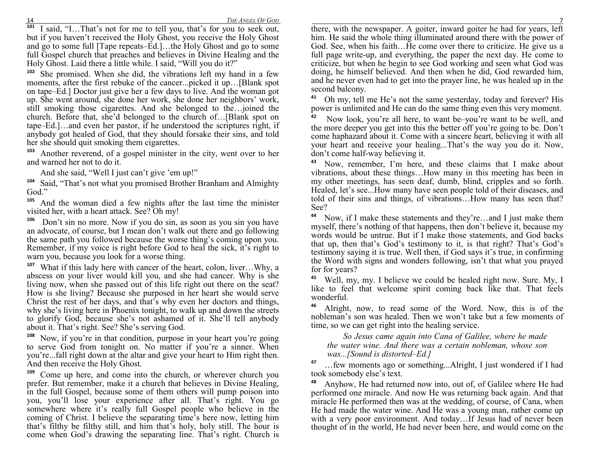<sup>1</sup> I said, "I...That's not for me to tell you, that's for you to seek out, but if you haven't received the Holy Ghost, you receive the Holy Ghost and go to some full [Tape repeats–Ed.]…the Holy Ghost and go to some full Gospel church that preaches and believes in Divine Healing and the Holy Ghost. Laid there a little while. I said, "Will you do it?"

**102** She promised. When she did, the vibrations left my hand in a few moments, after the first rebuke of the cancer...picked it up…[Blank spot on tape–Ed.] Doctor just give her a few days to live. And the woman got up. She went around, she done her work, she done her neighbors' work, still smoking those cigarettes. And she belonged to the…joined the church. Before that, she'd belonged to the church of…[Blank spot on tape–Ed.]…and even her pastor, if he understood the scriptures right, if anybody got healed of God, that they should forsake their sins, and told her she should quit smoking them cigarettes.

**103** Another reverend, of a gospel minister in the city, went over to her and warned her not to do it.

And she said, "Well I just can't give 'em up!"

**104** Said, "That's not what you promised Brother Branham and Almighty God."

**105** And the woman died a few nights after the last time the minister visited her, with a heart attack. See? Oh my!

**<sup>106</sup>** Don't sin no more. Now if you do sin, as soon as you sin you have an advocate, of course, but I mean don't walk out there and go following the same path you followed because the worse thing's coming upon you. Remember, if my voice is right before God to heal the sick, it's right to warn you, because you look for a worse thing.

**107**What if this lady here with cancer of the heart, colon, liver...Why, a abscess on your liver would kill you, and she had cancer. Why is she living now, when she passed out of this life right out there on the seat? How is she living? Because she purposed in her heart she would serve Christ the rest of her days, and that's why even her doctors and things, why she's living here in Phoenix tonight, to walk up and down the streets to glorify God, because she's not ashamed of it. She'll tell anybody about it. That's right. See? She's serving God.

**108** Now, if you're in that condition, purpose in your heart you're going to serve God from tonight on. No matter if you're a sinner. When you're...fall right down at the altar and give your heart to Him right then. And then receive the Holy Ghost.

**109** Come up here, and come into the church, or wherever church you prefer. But remember, make it a church that believes in Divine Healing, in the full Gospel, because some of them others will pump poison into you, you'll lose your experience after all. That's right. You go somewhere where it's really full Gospel people who believe in the coming of Christ. I believe the separating time's here now, letting him that's filthy be filthy still, and him that's holy, holy still. The hour is come when God's drawing the separating line. That's right. Church is

 there, with the newspaper. A goiter, inward goiter he had for years, left him. He said the whole thing illuminated around there with the power of God. See, when his faith…He come over there to criticize. He give us a full page write-up, and everything, the paper the next day. He come to criticize, but when he begin to see God working and seen what God was doing, he himself believed. And then when he did, God rewarded him, and he never even had to get into the prayer line, he was healed up in the second balcony.

**41** Oh my, tell me He's not the same yesterday, today and forever? His power is unlimited and He can do the same thing even this very moment.

**<sup>42</sup>** Now look, you're all here, to want be–you're want to be well, and the more deeper you get into this the better off you're going to be. Don't come haphazard about it. Come with a sincere heart, believing it with all your heart and receive your healing...That's the way you do it. Now, don't come half-way believing it.

**43** Now, remember, I'm here, and these claims that I make about vibrations, about these things…How many in this meeting has been in my other meetings, has seen deaf, dumb, blind, cripples and so forth. Healed, let's see...How many have seen people told of their diseases, and told of their sins and things, of vibrations…How many has seen that? See?

**44** Now, if I make these statements and they're…and I just make them myself, there's nothing of that happens, then don't believe it, because my words would be untrue. But if I make those statements, and God backs that up, then that's God's testimony to it, is that right? That's God's testimony saying it is true. Well then, if God says it's true, in confirming the Word with signs and wonders following, isn't that what you prayed for for years?

**45** Well, my, my. I believe we could be healed right now. Sure. My, I like to feel that welcome spirit coming back like that. That feels wonderful.

**46** Alright, now, to read some of the Word. Now, this is of the nobleman's son was healed. Then we won't take but a few moments of time, so we can get right into the healing service.

*So Jesus came again into Cana of Galilee, where he made the water wine. And there was a certain nobleman, whose son was...[Sound is distorted–Ed.]* 

**47** …few moments ago or something...Alright, I just wondered if I had took somebody else's text.

**48** Anyhow, He had returned now into, out of, of Galilee where He had performed one miracle. And now He was returning back again. And that miracle He performed then was at the wedding, of course, of Cana, when He had made the water wine. And He was a young man, rather come up with a very poor environment. And today…If Jesus had of never been thought of in the world, He had never been here, and would come on the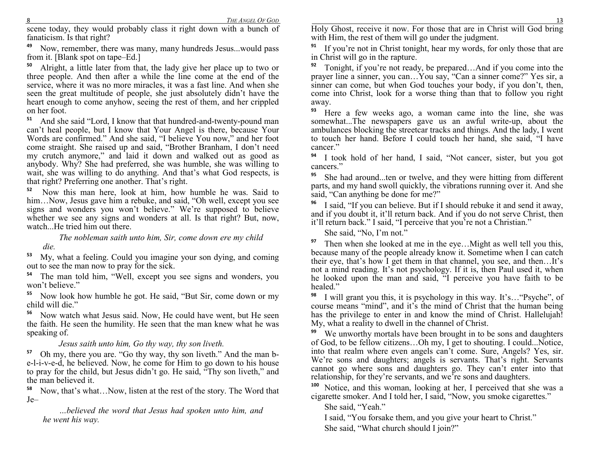scene today, they would probably class it right down with a bunch of fanaticism. Is that right?

**49** Now, remember, there was many, many hundreds Jesus...would pass from it. [Blank spot on tape–Ed.]

<sup>o</sup> Alright, a little later from that, the lady give her place up to two or **50** three people. And then after a while the line come at the end of the service, where it was no more miracles, it was a fast line. And when she seen the great multitude of people, she just absolutely didn't have the heart enough to come anyhow, seeing the rest of them, and her crippled on her foot.

<sup>1</sup> And she said "Lord, I know that that hundred-and-twenty-pound man **51** can't heal people, but I know that Your Angel is there, because Your Words are confirmed." And she said, "I believe You now," and her foot come straight. She raised up and said, "Brother Branham, I don't need my crutch anymore," and laid it down and walked out as good as anybody. Why? She had preferred, she was humble, she was willing to wait, she was willing to do anything. And that's what God respects, is that right? Preferring one another. That's right.

**<sup>52</sup>** Now this man here, look at him, how humble he was. Said to him…Now, Jesus gave him a rebuke, and said, "Oh well, except you see signs and wonders you won't believe." We're supposed to believe whether we see any signs and wonders at all. Is that right? But, now, watch...He tried him out there.

*The nobleman saith unto him, Sir, come down ere my child die.* 

**53** My, what a feeling. Could you imagine your son dying, and coming out to see the man now to pray for the sick.

<sup>4</sup> The man told him, "Well, except you see signs and wonders, you **54**won't believe."

**55** Now look how humble he got. He said, "But Sir, come down or my child will die."

**56** Now watch what Jesus said. Now, He could have went, but He seen the faith. He seen the humility. He seen that the man knew what he was speaking of.

#### *Jesus saith unto him, Go thy way, thy son liveth.*

**57** Oh my, there you are. "Go thy way, thy son liveth." And the man be-l-i-v-e-d, he believed. Now, he come for Him to go down to his house to pray for the child, but Jesus didn't go. He said, "Thy son liveth," and the man believed it.

**58** Now, that's what…Now, listen at the rest of the story. The Word that Je–

*…believed the word that Jesus had spoken unto him, and he went his way.* 

 Holy Ghost, receive it now. For those that are in Christ will God bring with Him, the rest of them will go under the judgment.

**91** If you're not in Christ tonight, hear my words, for only those that are in Christ will go in the rapture.

**92** Tonight, if you're not ready, be prepared…And if you come into the prayer line a sinner, you can…You say, "Can a sinner come?" Yes sir, a sinner can come, but when God touches your body, if you don't, then, come into Christ, look for a worse thing than that to follow you right away.

**93** Here a few weeks ago, a woman came into the line, she was somewhat...The newspapers gave us an awful write-up, about the ambulances blocking the streetcar tracks and things. And the lady, I went to touch her hand. Before I could touch her hand, she said, "I have cancer<sup>"</sup>

**94** I took hold of her hand, I said, "Not cancer, sister, but you got cancers."

**95** She had around...ten or twelve, and they were hitting from different parts, and my hand swoll quickly, the vibrations running over it. And she said, "Can anything be done for me?"

**96** I said, "If you can believe. But if I should rebuke it and send it away, and if you doubt it, it'll return back. And if you do not serve Christ, then it'll return back." I said, "I perceive that you're not a Christian."

She said, "No, I'm not."

**97** Then when she looked at me in the eye…Might as well tell you this, because many of the people already know it. Sometime when I can catch their eye, that's how I get them in that channel, you see, and then…It's not a mind reading. It's not psychology. If it is, then Paul used it, when he looked upon the man and said, "I perceive you have faith to be healed."

<sup>8</sup> I will grant you this, it is psychology in this way. It's... "Psyche", of **98** course means "mind", and it's the mind of Christ that the human being has the privilege to enter in and know the mind of Christ. Hallelujah! My, what a reality to dwell in the channel of Christ.

**99** We unworthy mortals have been brought in to be sons and daughters of God, to be fellow citizens…Oh my, I get to shouting. I could...Notice, into that realm where even angels can't come. Sure, Angels? Yes, sir. We're sons and daughters; angels is servants. That's right. Servants cannot go where sons and daughters go. They can't enter into that relationship, for they're servants, and we're sons and daughters.

 **100** Notice, and this woman, looking at her, I perceived that she was a cigarette smoker. And I told her, I said, "Now, you smoke cigarettes."

She said, "Yeah."

I said, "You forsake them, and you give your heart to Christ." She said, "What church should I join?"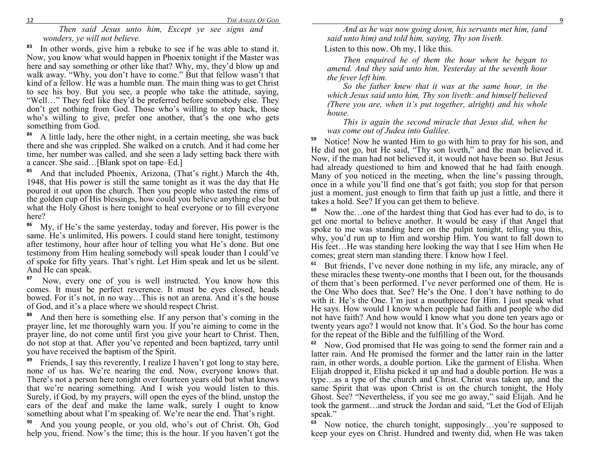*Then said Jesus unto him, Except ye see signs and wonders, ye will not believe.* 

**83** In other words, give him a rebuke to see if he was able to stand it. Now, you know what would happen in Phoenix tonight if the Master was here and say something or other like that? Why, my, they'd blow up and walk away. "Why, you don't have to come." But that fellow wasn't that kind of a fellow. He was a humble man. The main thing was to get Christ to see his boy. But you see, a people who take the attitude, saying, "Well…" They feel like they'd be preferred before somebody else. They don't get nothing from God. Those who's willing to step back, those who's willing to give, prefer one another, that's the one who gets something from God.

**84** A little lady, here the other night, in a certain meeting, she was back there and she was crippled. She walked on a crutch. And it had come her time, her number was called, and she seen a lady setting back there with a cancer. She said…[Blank spot on tape–Ed.]

<sup>5</sup> And that included Phoenix, Arizona, (That's right.) March the 4th, **85** 1948, that His power is still the same tonight as it was the day that He poured it out upon the church. Then you people who tasted the rims of the golden cup of His blessings, how could you believe anything else but what the Holy Ghost is here tonight to heal everyone or to fill everyone here?

**86** My, if He's the same yesterday, today and forever, His power is the same. He's unlimited, His powers. I could stand here tonight, testimony after testimony, hour after hour of telling you what He's done. But one testimony from Him healing somebody will speak louder than I could've of spoke for fifty years. That's right. Let Him speak and let us be silent. And He can speak.

**<sup>87</sup>** Now, every one of you is well instructed. You know how this comes. It must be perfect reverence. It must be eyes closed, heads bowed. For it's not, in no way…This is not an arena. And it's the house of God, and it's a place where we should respect Christ.

**88** And then here is something else. If any person that's coming in the prayer line, let me thoroughly warn you. If you're aiming to come in the prayer line, do not come until first you give your heart to Christ. Then, do not stop at that. After you've repented and been baptized, tarry until you have received the baptism of the Spirit.

**89** Friends, I say this reverently, I realize I haven't got long to stay here, none of us has. We're nearing the end. Now, everyone knows that. There's not a person here tonight over fourteen years old but what knows that we're nearing something. And I wish you would listen to this. Surely, if God, by my prayers, will open the eyes of the blind, unstop the ears of the deaf and make the lame walk, surely I ought to know something about what I'm speaking of. We're near the end. That's right.

**90** And you young people, or you old, who's out of Christ. Oh, God help you, friend. Now's the time; this is the hour. If you haven't got the

*And as he was now going down, his servants met him, (and said unto him) and told him, saying, Thy son liveth.* 

Listen to this now. Oh my, I like this.

*Then enquired he of them the hour when he began to amend. And they said unto him, Yesterday at the seventh hour the fever left him.* 

 *So the father knew that it was at the same hour, in the which Jesus said unto him, Thy son liveth: and himself believed (There you are, when it's put together, alright) and his whole house.* 

 *This is again the second miracle that Jesus did, when he was come out of Judea into Galilee.* 

**59** Notice! Now he wanted Him to go with him to pray for his son, and He did not go, but He said, "Thy son liveth," and the man believed it. Now, if the man had not believed it, it would not have been so. But Jesus had already questioned to him and knowed that he had faith enough. Many of you noticed in the meeting, when the line's passing through, once in a while you'll find one that's got faith; you stop for that person just a moment, just enough to firm that faith up just a little, and there it takes a hold. See? If you can get them to believe.

**60** Now the…one of the hardest thing that God has ever had to do, is to get one mortal to believe another. It would be easy if that Angel that spoke to me was standing here on the pulpit tonight, telling you this, why, you'd run up to Him and worship Him. You want to fall down to His feet…He was standing here looking the way that I see Him when He comes; great stern man standing there. I know how I feel.

**61** But friends, I've never done nothing in my life, any miracle, any of these miracles these twenty-one months that I been out, for the thousands of them that's been performed. I've never performed one of them. He is the One Who does that. See? He's the One. I don't have nothing to do with it. He's the One. I'm just a mouthpiece for Him. I just speak what He says. How would I know when people had faith and people who did not have faith? And how would I know what you done ten years ago or twenty years ago? I would not know that. It's God. So the hour has come for the repeat of the Bible and the fulfilling of the Word.

**62** Now, God promised that He was going to send the former rain and a latter rain. And He promised the former and the latter rain in the latter rain, in other words, a double portion. Like the garment of Elisha. When Elijah dropped it, Elisha picked it up and had a double portion. He was a type…as a type of the church and Christ. Christ was taken up, and the same Spirit that was upon Christ is on the church tonight, the Holy Ghost. See? "Nevertheless, if you see me go away," said Elijah. And he took the garment…and struck the Jordan and said, "Let the God of Elijah speak."

**63** Now notice, the church tonight, supposingly…you're supposed to keep your eyes on Christ. Hundred and twenty did, when He was taken